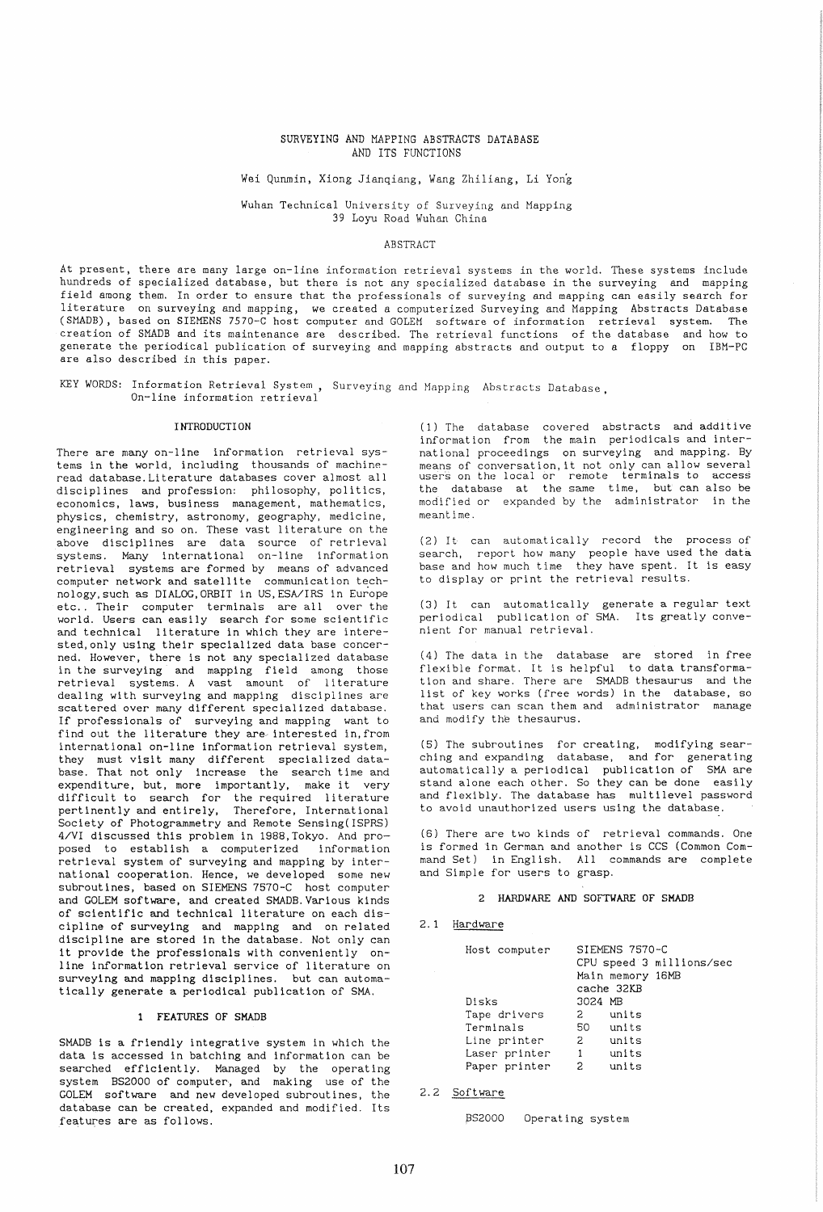## SURVEYING AND MAPPING ABSTRACTS DATABASE AND ITS FUNCTIONS

# Wei Qunmin, Xiong Jianqiang, Wang Zhiliang, Li Yong

Wuhan Technical University of Surveying and Mapping 39 Loyu Road Wuhan China

#### ABSTRACT

At present, there are many large on-line information retrieval systems in the world. These systems include hundreds of specialized database, but there is not any specialized database in the surveying and mapping field among them. In order to ensure that the professionals of surveying and mapping can easily search for literature on surveying and mapping, we created a computerized Surveying and Mapping Abstracts Database (SMADE), based on SIEMENS 7570-C host computer and GOLEM software of information retrieval system. The creation of SMADB and its maintenance are described. The retrieval functions of the database and how to generate the periodical publication of surveying and mapping abstracts and output to a floppy on IBM-PC are also described in this paper.

KEY WORDS: Information Retrieval System, Surveying and Mapping Abstracts Database, On-line information retrieval

#### I NTRODUCTI ON

There are many on-line information retrieval systems in the world, including thousands of machineread database. Literature databases cover almost all disciplines and profession: philosophy, politics, economics, laws, business management, mathematics, physics, chemistry, astronomy, geography, medicine, engineering and so on. These vast literature on the above disciplines are data source of retrieval systems. Many international on-line information retrieval systems are formed by means of advanced computer network and satellite communication technology,such as DIALOG,ORBIT in US,ESA/IRS in Europe horogy, such as binbod, one if in ob, how include the same operator. world. Users can easily search for some scientific and technical literature in which they are interested, only using their specialized data base concerned. However, there is not any specialized database in the surveying and mapping field among those retrieval systems. A vast amount of literature dealing with surveying and mapping disciplines are scattered over many different specialized database. If professionals of surveying and mapping want to find out the literature they are interested in, from international on-line information retrieval system, they must visit many different specialized database. That not only increase the search time and expenditure, but, more importantly, make it very difficult to search for the required literature pertinently and entirely, Therefore, International Society of Photogrammetry and Remote Sensing(ISPRS) 4/VI discussed this problem in 19BB,Tokyo. And proposed to establish a computerized information retrieval system of surveying and mapping by international cooperation. Hence, we developed some new subroutines, based on SIEMENS 7570-C host computer and GOLEM software, and created SMADB.Various kinds of scientific and technical literature on each discipline of surveying and mapping and on related discipline are stored in the database. Not only can it provide the professionals with conveniently online information retrieval service of literature on surveying and mapping disciplines. but can automatically generate a periodical publication of SMA.

## FEATURES OF SHADB

SMADB is a friendly integrative system in which the data is accessed in batching and information can be searched efficiently. Managed by the operating system BS2000 of computer, and making use of the GOLEM software and new developed subroutines, the database can be created, expanded and modified. Its features are as follows.

 $(1)$  The database covered abstracts and additive information from the main periodicals and international proceedings on surveying and mapping. By means of conversation, it not only can allow several users on the local or remote terminals to access the database at the same time, but can also be modified or expanded by the administrator in the meantime.

(2) It can automatically record the process of search, report how many people have used the data base and how much time they have spent. It is easy to display or print the retrieval results.

(3) It can automatically generate a regular text periodical publication of SMA. Its greatly convenient for manual retrieval.

(4) The data in the database are stored in free flexible format. It is helpful to data transformation and share. There are SMADB thesaurus and the list of key works (free words) in the database, so that users can scan them and administrator manage and modify the thesaurus.

(5) The subroutines for creating, modifying sear- ching and expanding database, and for generating automatically a periodical publication of SMA are stand alone each other. So they can be done easily and flexibly. The database has multilevel password to avoid unauthorized users using the database.

(6) There are two kinds of retrieval commands. One is formed in German and another is CCS (Common Command Set) in English. All commands are complete and Simple for users to grasp.

## 2 HARDUARE AND SOFTUARE OF SHADB

#### 2.1 Hardware

| Host computer | SIEMENS 7570-C<br>CPU speed 3 millions/sec<br>Main memory 16MB<br>cache 32KB |
|---------------|------------------------------------------------------------------------------|
| Disks         | 3024 MB                                                                      |
| Tape drivers  | units<br>2                                                                   |
| Terminals     | units<br>50 —                                                                |
| Line printer  | $\mathbf{2}$<br>units                                                        |
| Laser printer | 1<br>units                                                                   |
| Paper printer | units<br>2                                                                   |

2.2 Software

BS2000 Operating system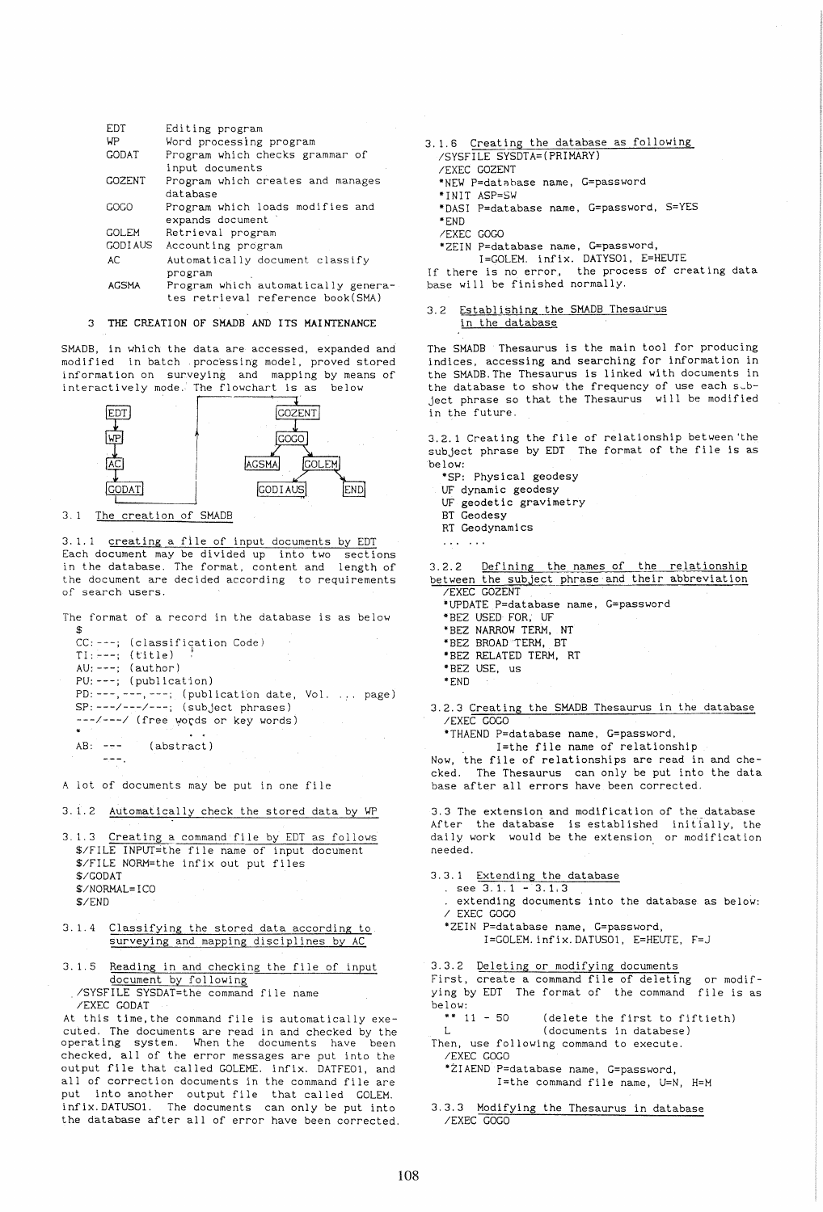| <b>EDT</b>    | Editing program                     |
|---------------|-------------------------------------|
|               |                                     |
| WP            | Word processing program             |
| <b>GODAT</b>  | Program which checks grammar of     |
|               | input documents                     |
| <b>GOZENT</b> | Program which creates and manages   |
|               | database                            |
| GOGO          | Program which loads modifies and    |
|               | expands document                    |
| GOLEM         | Retrieval program                   |
| GODI AUS      | Accounting program                  |
| AC            | Automatically document classify     |
|               | program                             |
| <b>AGSMA</b>  | Program which automatically genera- |
|               | tes retrieval reference book(SMA)   |

### 3 THE CREATION OF SMADB AND ITS MAINTENANCE

SHADB, in which the data are accessed, expanded and modified in batch .processing model, proved stored information on surveying and mapping by means of interactively mode. The flowchart is as below



3.1 The creation of SMADB

3.1.1 creating a file of input documents by EDT Each document may be divided up into two sections in the database. The format, content and length of the document are decided according to requirements of search users.

The format of a record in the database is as below \$

```
CC: ---; (classification Code)
TI: ---; (title)
AU: ---; (author) 
PU: ---; (publication) 
PD: ---, ---, ---; (publication date, Vol. ... page)
SP: ---/---/---; (subject phrases) 
---/---/ (free words or key words)
                  \sim \simAB: --- (abstract)
```
A lot of documents may be put in one file

3.1.2 Automatically check the stored data by WP

- 3.1.3 Creating a command file by EDT as follows \$/FILE INPlIT=the fi Ie name of input document \$/FILE NORM=the infix out put files \$/GODAT \$/NORHAL=ICO \$/END
- 3.1.4 Classifying the stored data according to surveying and mapping disciplines by AC
- 3.1.5 Reading in and checking the file of input document by following ./SYSFILE SYSDAT=the command file name IEXEC GODAT

At this time,the command file is automatically executed. The documents are read in and checked by the operating system. When the documents have been checked, all of the error messages are put into the output file that called GOLEHE. infix. DATFE01, and all of correction documents in the command file are put into another output file that called GOLEM. infix.DATUS01. The documents can only be put into the database after all of error have been corrected.

### 3.1.6 Creating the database as following /SYSFILE SYSDTA=(PRlHARY) /EXEC GOZENT \*NEW P=datnhase name, G=password \*INIT ASP=SW \*DASI P=database name, G=password, S=YES \*END /EXEC GOGO \*ZEIN P=database name, G=password, I=GOLEM. infix. DATYSO1, E=HEUTE If there is no error, the process of creating data

base will be finished normally.

#### 3.2 Establishing the SMADB Thesaurus in the database

The SHADB Thesaurus is the main tool for producing indices, accessing and searching for information in the SHADB.The Thesaurus is linked with documents in the database to show the frequency of use each subject phrase so that the Thesaurus will be modified in the future.

3.2.1 Creating the file of relationship between 'the subject phrase by EDT The format of the file is as be low:

- \*SP: Physical geodesy
- UF dynamic geodesy
- UF geodetic gravimetry
- BT Geodesy
- RT Geodynamics
- $\cdots$  . . . .

3.2.2 Defining the names of the relationship between the subject phrase and their abbreviation /EXEC GOZENT

\*UPDATE P=database name, G=password

-BEZ USED FOR, UF

\*BEZ NARROW TERM, NT

- \*BEZ BROAD TERM, BT
- \*BEZ RELATED TERM, RT
- \*BEZ USE, us
- -END
- 3.2.3 Creating the SHADB Thesaurus in the database /EXEC GOGO

\*THAEND P=database name, G=password,

. I=the file name of relationship Now, the file of relationships are read in and checked. The Thesaurus can only be put into the data base after all errors have been corrected.

3.3 The extension and modification of the database After the database is established initially, the daily work would be the extension or modification needed.

3.3.1 Extending the database

- $s$  see 3.1.1 3.1.3
- . extending documents into the database as below: / EXEC GOGO
- \*ZEIN P=database name, G=password,
	- $I = GOLEM$ . infix. DATUS01, E=HEUTE,  $F = J$

3.3.2 Deleting or modifying documents

First, create a command file of deleting or modifying by EDT The format of the command file is as below:

\*\*  $11 - 50$ (delete the first to fiftieth)

L (documents in databese) Then, use following command to execute. IEXEC GOGO

·ZIAEND P=database name, G=password, I=the command file name, U=N, H=H

3.3.3 Modifying the Thesaurus in database /EXEC GOGO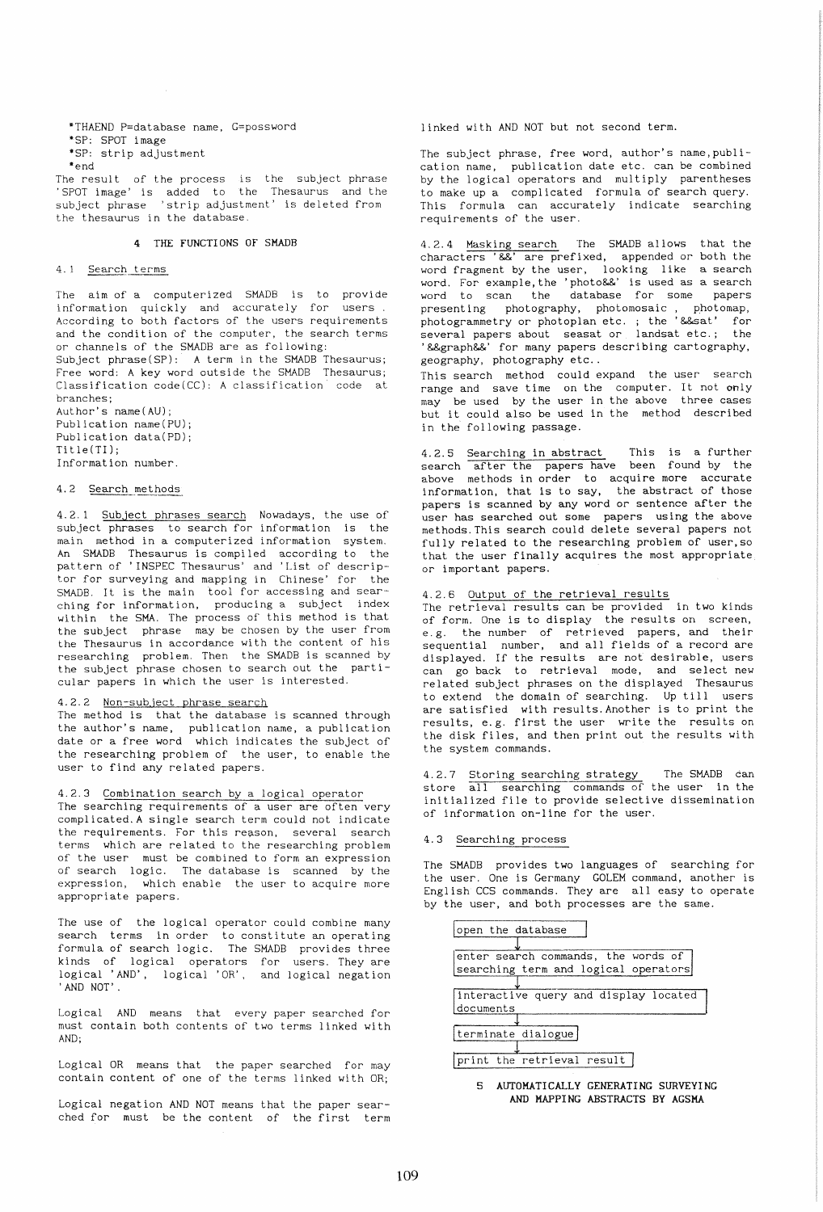\*THAEND P=database name, G=possword \*SP: SPOT image \*SP: strip adjustment \*end

The result of the process is the subject phrase 'SPOT image' is added to the Thesaurus and the subject phrase 'strip adjustment.' is deleted from the thesaurus in the database.

## 4 THE FUNCTIONS OF SHADB

### 4.1 Search terms

The aim of a computerized SMADB is to provide information quickly and accurately for users. According to both factors of the users requirements and the condition of the computer, the search terms or channels of the SMADB are as following: Subject phrase(SP): A term in the SMADB Thesaurus; Free word: A key word outside the SMADB Thesaurus; Classification code(CC): A classification code at

branches; Author's name(AU); Publication name(PU); Publication data(PD); Title(TI); Information number.

### 4.2 Search methods

4.2.1 Subject phrases search Nowadays, the use of subject phrases to search for information is the main method in a computerized information system. An SMADB Thesaurus is compiled according to the pattern of ' INSPEC Thesaurus' and 'List of descriptor for surveying and mapping in Chinese' for the SMADB. It is the main tool for accessing and sear· ching for information, producing a subject index within the SMA. The process of this method is that the subject phrase may be chosen by the user from the Thesaurus in accordance with the content of his researching problem. Then the SMADB is scanned by the subject phrase chosen to search out the particular papers in which the user is interested.

# 4.2.2 Non-subject phrase search

The method is that the database is scanned through the author's name, publication name, a publication date or a free word which indicates the subject of the researching problem of the user, to enable the user to find any related papers.

# 4.2.3 Combination search by a logical operator

The searching requirements of a user are often very complicated. A single search term could not indicate the requirements. For this reason, several search terms which are related to the researching problem of the user must be combined to form an expression of search logic. The database is scanned by the expression, which enable the user to acquire more appropriate papers.

The use of the logical operator could combine many search terms in order to constitute an operating formula of search logic. The SMADB provides three kinds of logical operators for users. They are logical 'AND', logical 'OR', and logical negation 'AND NOT' .

Logical AND means that every paper searched for must contain both contents of two terms linked with AND;

Logical OR means that the paper searched for may contain content of one of the terms linked with OR;

Logical negation AND NOT means that the paper searched for must be the content of the first term linked with AND NOT but not second term.

The subject phrase, free word, author's name,publication name, publication date etc. can be combined by the logical operators and multiply parentheses to make up a complicated formula of search query. This formula can accurately indicate searching requirements of the user.

4.2.4 Masking search The SMADB allows that the characters '&&' are prefixed, appended or both the word fragment by the user, looking like a search word. For example,the 'photo&&' is used as a search word to scan the database for some papers presenting photography, photomosaic, photomap, photogrammetry or photoplan etc. ; the '&&sat' for several papers about seasat or landsat etc.; the '&&graph&&' for many papers describing cartography, geography, photography etc ..

This search method could expand the user search range and save time on the computer. It not only may be used by the user in the above three cases but it could also be used in the method described in the following passage.

4.2.5 Searching in abstract This is a further search after the papers have been found by the above methods in order to acquire more accurate information, that is to say, the abstract of those papers is scanned by any word or sentence after the user has searched out some papers using the above methods. This search could delete several papers not fully related to the researching problem of user, so that the user finally acquires the most appropriate or important papers.

# 4.2.6 Output of the retrieval results

The retrieval results can be provided in two kinds of form. One is to display the results on screen, e.g. the number of retrieved papers, and their sequential number, and all fields of a record are displayed. If the results are not desirable, users can go back to retrieval mode, and select new related subject phrases on the displayed Thesaurus to extend the domain of searching. Up till users are satisfied with results. Another is to print the results, e.g. first the user write the results on the disk files, and then print out the results with the system commands.

4.2.7 Storing searching strategy The SMADB can store all searching commands of the user in the initialized file to provide selective dissemination of information on-line for the user.

#### 4.3 Searching process

The SMADB provides two languages of searching for the user. One is Germany GOLEM command, another is English CCS commands. They are all easy to operate by the user, and both processes are the same.



<sup>5</sup> AUTOMATICALLY GENERATING SURVEYING AND MAPPING ABSTRACTS BY AGSMA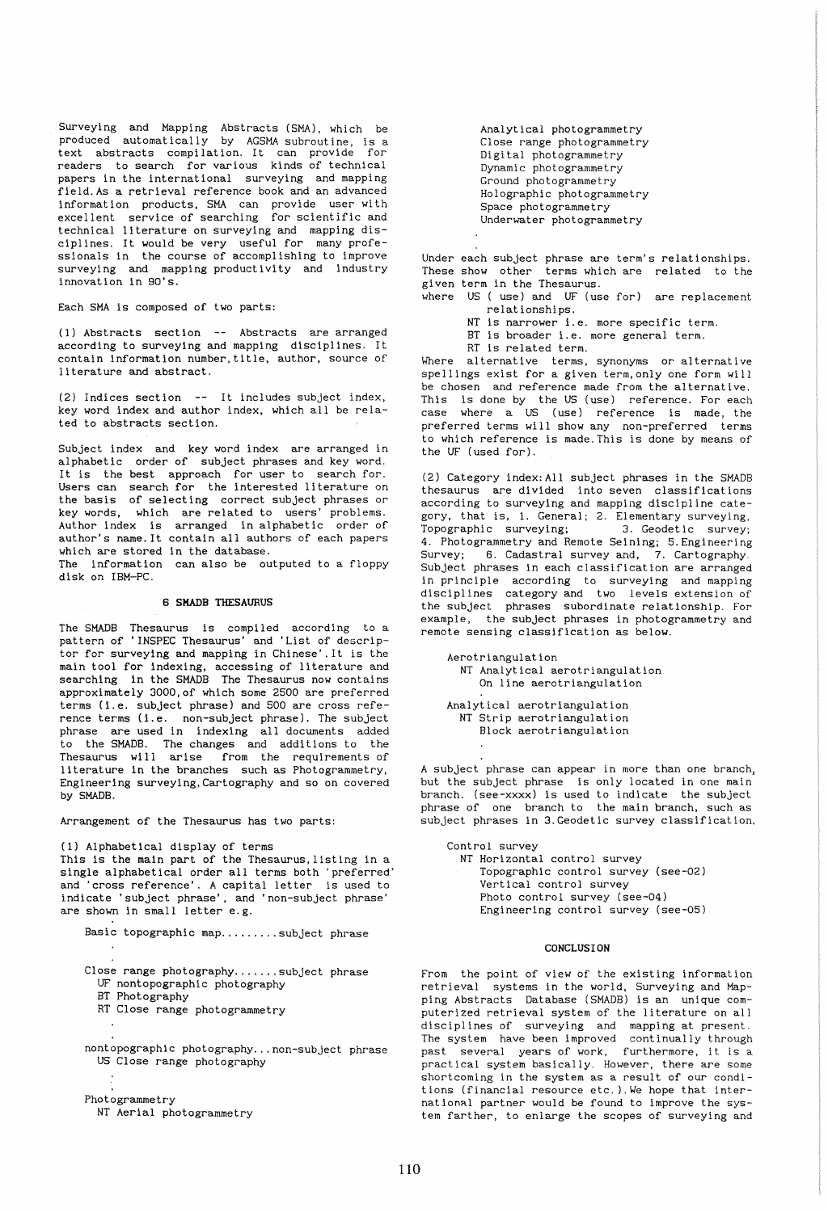Surveying and Mapping Abstracts (SMA), which be produced automatically by AGSMA subroutine, is a text abstracts compilation. It can provide for readers to search for various kinds of technical papers in the international surveying and mapping field.As a retrieval reference book and an advanced information products, SMA can provide user with excellent service of searching for scientific and technical literature on surveying and mapping disciplines. It would be very useful for many professionals in the course of accomplishing to improve surveying and mapping productivity and industry innovation in 90's.

Each SMA is composed of two parts:

(1) Abstracts section -- Abstracts are arranged according to surveying and mapping disciplines. It contain information number,title, author, source of literature and abstract.

(2) Indices section  $--$  It includes subject index, key word index and author index, which all be related to abstracts section.

Subject index and key word index are arranged in alphabetic order of subject phrases and key word. It is the best approach for user to search for. Users can search for the interested literature on the basis of selecting correct subject phrases or key words, which are related to users' problems. Author index is arranged in alphabetic order of author's name. It contain all authors of each papers which are stored in the database. The information can also be outputed to a floppy

disk on IBM-PC.

## 6 SHADB THESAURUS

The SMADB Thesaurus is compiled according to a pattern of 'INSPEC Thesaurus' and 'List of descriptor for surveying and mapping in Chinese' .It is the main tool for indexing, accessing of literature and searching in the SMADB The Thesaurus now contains approximately 3000,of which some 2500 are preferred terms (i.e. subject phrase) and 500 are cross reference terms (i.e. non-subject phrase). The subject phrase are used in indexing all documents added to the SMADB. The changes and additions to the Thesaurus will arise from the requirements of literature in the branches such as Photogrammetry, Engineering surveying,Cartography and so on covered by SMADB.

Arrangement of the Thesaurus has two parts:

(1) Alphabetical display of terms This is the main part of the Thesaurus, listing in a single alphabetical order all terms both 'preferred' and 'cross reference'. A capital letter is used to indicate 'subject phrase', and 'non-subject phrase' are shown in small letter e.g.

Basic topographic map.........subject phrase Close range photography.......subject phrase UF nontopographic photography BT Photography RT Close range photogrammetry nontopographic photography ... non-subject phrase US Close range photography Photogrammetry NT Aerial photogrammetry

Analytical photogrammetry Close range photogrammetry Digital photogrammetry Dynamic photogrammetry Ground photogrammetry Holographic photogrammetry Space photogrammetry Underwater photogrammetry

Under each subject phrase are term's relationships. These show other terms which are related to the given term in the Thesaurus.

where US ( use) and UF (use for) are replacement relationships.

NT is narrower i.e. more specific term.

BT is broader i.e. more general term.

RT is related term.

Where alternative terms, synonyms or alternative spellings exist for a given term,only one form will be chosen and reference made from the alternative. This is done by the US (use) reference. For each case where a US (use) reference is made, the preferred terms will show any non-preferred terms to which reference is made. This is done by means of the UF (used for).

(2) Category index:AIl subject phrases in the SMADB thesaurus are divided into seven classifications according to surveying and mapping discipline category, that is, 1. General; 2. Elementary surveying,<br>Topographic surveying; 3. Geodetic survey; Topographic surveying; 4. Photogrammetry and Remote Seining; 5.Engineering Survey; 6. Cadastral survey and, 7. Cartography. Subject phrases in each classification are arranged in principle according to surveying and mapping disciplines category and two levels extension of the subject phrases subordinate relationship. For example, the subject phrases in photogrammetry and remote sensing classification as below.

Aerotriangulation NT Analytical aerotriangulation On line aerotriangulation

Analytical aerotriangulation NT Strip aerotriangulation Block aerotriangulation

A subject phrase can appear in more than one branch, but the subject phrase is only located in one main branch. (see-xxxx) is used to indicate the subject phrase of one branch to the main branch, such as .<br>subject phrases in 3.Geodetic survey classification.

Control survey NT Horizontal control survey Topographic control survey (see-02) Vertical control survey Photo control survey (see-04) Engineering control survey (see-05)

## CONCLUSION

From the point of view of the existing information retrieval systems in the world, Surveying and Mapping Abstracts Database (SMADB) is an unique computerized retrieval system of the literature on all .<br>disciplines of surveying and mapping at present. The system have been improved continually through past several years of work, furthermore, it is a practical system basically. However, there are some shortcoming in the system as a result of our conditions (financial resource etc. ).We hope that international partner would be found to improve the system farther, to enlarge the scopes of surveying and